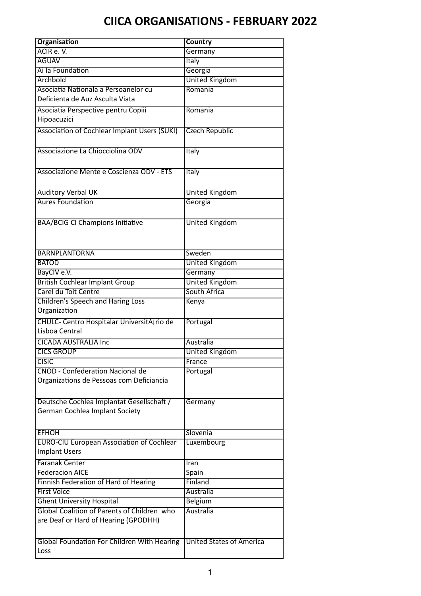| <b>Organisation</b>                                      | <b>Country</b>                  |  |
|----------------------------------------------------------|---------------------------------|--|
| ACIR e.V.                                                | Germany                         |  |
| <b>AGUAV</b>                                             | <b>Italy</b>                    |  |
| Ai la Foundation                                         | Georgia                         |  |
| Archbold                                                 | <b>United Kingdom</b>           |  |
| Asociatia Nationala a Persoanelor cu                     | Romania                         |  |
| Deficienta de Auz Asculta Viata                          |                                 |  |
| Asociatia Perspective pentru Copiii                      | Romania                         |  |
| Hipoacuzici                                              |                                 |  |
| <b>Association of Cochlear Implant Users (SUKI)</b>      | <b>Czech Republic</b>           |  |
|                                                          |                                 |  |
| Associazione La Chiocciolina ODV                         | <b>Italy</b>                    |  |
|                                                          |                                 |  |
| Associazione Mente e Coscienza ODV - ETS                 | Italy                           |  |
|                                                          |                                 |  |
| <b>Auditory Verbal UK</b>                                | <b>United Kingdom</b>           |  |
| <b>Aures Foundation</b>                                  | Georgia                         |  |
|                                                          |                                 |  |
| <b>BAA/BCIG CI Champions Initiative</b>                  | <b>United Kingdom</b>           |  |
|                                                          |                                 |  |
|                                                          |                                 |  |
| <b>BARNPLANTORNA</b>                                     | Sweden                          |  |
| <b>BATOD</b>                                             | <b>United Kingdom</b>           |  |
| BayCIV e.V.                                              | Germany                         |  |
| <b>British Cochlear Implant Group</b>                    | <b>United Kingdom</b>           |  |
| Carel du Toit Centre                                     | South Africa                    |  |
|                                                          |                                 |  |
| <b>Children's Speech and Haring Loss</b><br>Organization | Kenya                           |  |
|                                                          |                                 |  |
| CHULC- Centro Hospitalar UniversitAjrio de               | Portugal                        |  |
| Lisboa Central                                           |                                 |  |
| <b>CICADA AUSTRALIA Inc</b>                              | Australia                       |  |
| <b>CICS GROUP</b>                                        | <b>United Kingdom</b>           |  |
| <b>CISIC</b>                                             | France                          |  |
| <b>CNOD - Confederation Nacional de</b>                  | Portugal                        |  |
| Organizations de Pessoas com Deficiancia                 |                                 |  |
|                                                          |                                 |  |
| Deutsche Cochlea Implantat Gesellschaft /                | Germany                         |  |
| German Cochlea Implant Society                           |                                 |  |
|                                                          |                                 |  |
| <b>EFHOH</b>                                             | Slovenia                        |  |
| <b>EURO-CIU European Association of Cochlear</b>         | Luxembourg                      |  |
| <b>Implant Users</b>                                     |                                 |  |
| <b>Faranak Center</b>                                    | Iran                            |  |
| <b>Federacion AICE</b>                                   | Spain                           |  |
| Finnish Federation of Hard of Hearing                    | Finland                         |  |
| <b>First Voice</b>                                       | Australia                       |  |
| <b>Ghent University Hospital</b>                         | <b>Belgium</b>                  |  |
| Global Coalition of Parents of Children who              | <b>Australia</b>                |  |
| are Deaf or Hard of Hearing (GPODHH)                     |                                 |  |
|                                                          |                                 |  |
| Global Foundation For Children With Hearing              | <b>United States of America</b> |  |
| Loss                                                     |                                 |  |
|                                                          |                                 |  |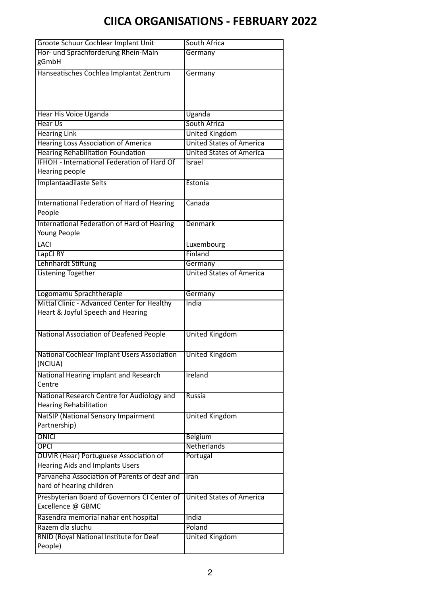| Groote Schuur Cochlear Implant Unit            | South Africa                               |  |
|------------------------------------------------|--------------------------------------------|--|
| Hor- und Sprachforderung Rhein-Main            | Germany                                    |  |
| gGmbH                                          |                                            |  |
| Hanseatisches Cochlea Implantat Zentrum        | Germany                                    |  |
|                                                |                                            |  |
|                                                |                                            |  |
|                                                |                                            |  |
| Hear His Voice Uganda                          | Uganda                                     |  |
| <b>Hear Us</b>                                 | South Africa                               |  |
| <b>Hearing Link</b>                            | <b>United Kingdom</b>                      |  |
| <b>Hearing Loss Association of America</b>     | <b>United States of America</b>            |  |
| <b>Hearing Rehabilitation Foundation</b>       | <b>United States of America</b>            |  |
| IFHOH - International Federation of Hard Of    | Israel                                     |  |
| Hearing people                                 |                                            |  |
| Implantaadilaste Selts                         | Estonia                                    |  |
|                                                |                                            |  |
| International Federation of Hard of Hearing    | Canada                                     |  |
| People                                         |                                            |  |
| International Federation of Hard of Hearing    | <b>Denmark</b>                             |  |
| Young People                                   |                                            |  |
| <b>LACI</b>                                    | Luxembourg<br>Finland                      |  |
| LapCI RY<br>Lehnhardt Stiftung                 |                                            |  |
| <b>Listening Together</b>                      | Germany<br><b>United States of America</b> |  |
|                                                |                                            |  |
| Logomamu Sprachtherapie                        | Germany                                    |  |
| Mittal Clinic - Advanced Center for Healthy    | India                                      |  |
| Heart & Joyful Speech and Hearing              |                                            |  |
|                                                |                                            |  |
| <b>National Association of Deafened People</b> | <b>United Kingdom</b>                      |  |
|                                                |                                            |  |
| National Cochlear Implant Users Association    | <b>United Kingdom</b>                      |  |
| (NCIUA)                                        |                                            |  |
| National Hearing implant and Research          | <b>Ireland</b>                             |  |
| Centre                                         |                                            |  |
| National Research Centre for Audiology and     | Russia                                     |  |
| <b>Hearing Rehabilitation</b>                  |                                            |  |
| <b>NatSIP (National Sensory Impairment</b>     | <b>United Kingdom</b>                      |  |
| Partnership)                                   |                                            |  |
| ONICI                                          | <b>Belgium</b>                             |  |
| <b>OPCI</b>                                    | Netherlands                                |  |
| <b>OUVIR (Hear) Portuguese Association of</b>  | Portugal                                   |  |
| <b>Hearing Aids and Implants Users</b>         |                                            |  |
| Parvaneha Association of Parents of deaf and   | <b>Iran</b>                                |  |
| hard of hearing children                       |                                            |  |
| Presbyterian Board of Governors CI Center of   | <b>United States of America</b>            |  |
| Excellence @ GBMC                              |                                            |  |
| Rasendra memorial nahar ent hospital           | India                                      |  |
| Razem dla sluchu                               | Poland                                     |  |
| RNID (Royal National Institute for Deaf        | <b>United Kingdom</b>                      |  |
| People)                                        |                                            |  |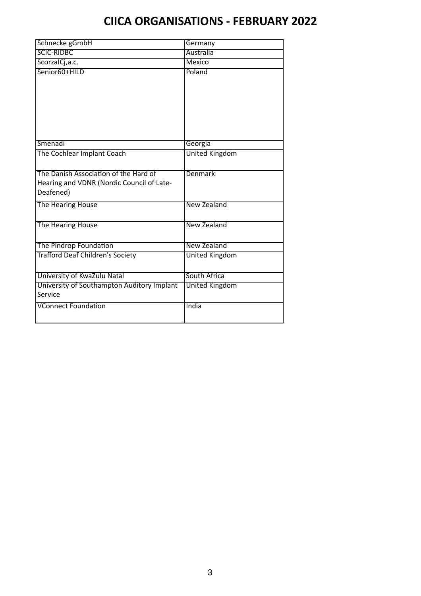| Schnecke gGmbH                                                                                  | Germany               |
|-------------------------------------------------------------------------------------------------|-----------------------|
| <b>SCIC-RIDBC</b>                                                                               | Australia             |
| ScorzalCj, a.c.                                                                                 | <b>Mexico</b>         |
| Senior60+HILD                                                                                   | Poland                |
| Smenadi                                                                                         | Georgia               |
| The Cochlear Implant Coach                                                                      | <b>United Kingdom</b> |
| The Danish Association of the Hard of<br>Hearing and VDNR (Nordic Council of Late-<br>Deafened) | Denmark               |
| The Hearing House                                                                               | New Zealand           |
| The Hearing House                                                                               | New Zealand           |
| The Pindrop Foundation                                                                          | <b>New Zealand</b>    |
| <b>Trafford Deaf Children's Society</b>                                                         | <b>United Kingdom</b> |
| University of KwaZulu Natal                                                                     | South Africa          |
| University of Southampton Auditory Implant                                                      | <b>United Kingdom</b> |
| Service                                                                                         |                       |
| <b>VConnect Foundation</b>                                                                      | India                 |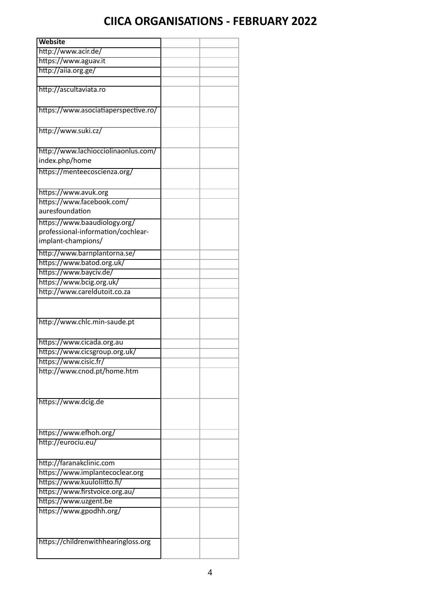| <b>Website</b>                                                |  |
|---------------------------------------------------------------|--|
| http://www.acir.de/                                           |  |
| https://www.aguav.it                                          |  |
| http://aiia.org.ge/                                           |  |
|                                                               |  |
| http://ascultaviata.ro                                        |  |
|                                                               |  |
| https://www.asociatiaperspective.ro/                          |  |
|                                                               |  |
| http://www.suki.cz/                                           |  |
|                                                               |  |
|                                                               |  |
| http://www.lachiocciolinaonlus.com/<br>index.php/home         |  |
|                                                               |  |
| https://menteecoscienza.org/                                  |  |
|                                                               |  |
| https://www.avuk.org                                          |  |
| https://www.facebook.com/                                     |  |
| auresfoundation                                               |  |
| https://www.baaudiology.org/                                  |  |
| professional-information/cochlear-                            |  |
| implant-champions/                                            |  |
| http://www.barnplantorna.se/                                  |  |
| https://www.batod.org.uk/                                     |  |
| https://www.bayciv.de/                                        |  |
| https://www.bcig.org.uk/                                      |  |
| http://www.careldutoit.co.za                                  |  |
|                                                               |  |
|                                                               |  |
| http://www.chlc.min-saude.pt                                  |  |
|                                                               |  |
| https://www.cicada.org.au                                     |  |
| https://www.cicsgroup.org.uk/                                 |  |
| https://www.cisic.fr/                                         |  |
| http://www.cnod.pt/home.htm                                   |  |
|                                                               |  |
|                                                               |  |
| https://www.dcig.de                                           |  |
|                                                               |  |
|                                                               |  |
| https://www.efhoh.org/                                        |  |
|                                                               |  |
| http://eurociu.eu/                                            |  |
|                                                               |  |
| http://faranakclinic.com                                      |  |
| https://www.implantecoclear.org                               |  |
| https://www.kuuloliitto.fi/<br>https://www.firstvoice.org.au/ |  |
| https://www.uzgent.be                                         |  |
| https://www.gpodhh.org/                                       |  |
|                                                               |  |
|                                                               |  |
|                                                               |  |
| https://childrenwithhearingloss.org                           |  |
|                                                               |  |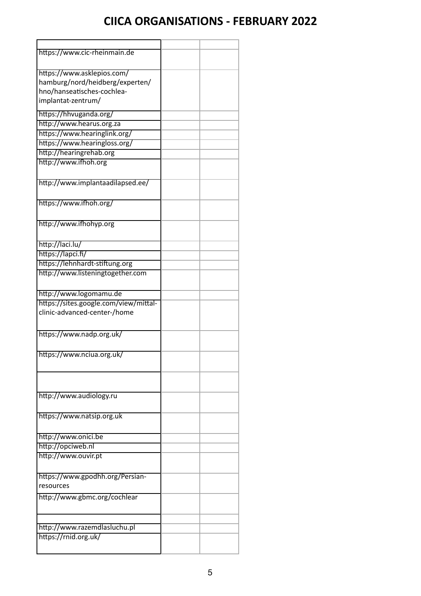| https://www.cic-rheinmain.de          |  |
|---------------------------------------|--|
|                                       |  |
| https://www.asklepios.com/            |  |
| hamburg/nord/heidberg/experten/       |  |
| hno/hanseatisches-cochlea-            |  |
| implantat-zentrum/                    |  |
|                                       |  |
| https://hhvuganda.org/                |  |
| http://www.hearus.org.za              |  |
| https://www.hearinglink.org/          |  |
| https://www.hearingloss.org/          |  |
| http://hearingrehab.org               |  |
| http://www.ifhoh.org                  |  |
|                                       |  |
| http://www.implantaadilapsed.ee/      |  |
|                                       |  |
|                                       |  |
| https://www.ifhoh.org/                |  |
|                                       |  |
| http://www.ifhohyp.org                |  |
|                                       |  |
| http://laci.lu/                       |  |
| https://lapci.fi/                     |  |
| https://lehnhardt-stiftung.org        |  |
| http://www.listeningtogether.com      |  |
|                                       |  |
|                                       |  |
| http://www.logomamu.de                |  |
| https://sites.google.com/view/mittal- |  |
| clinic-advanced-center-/home          |  |
|                                       |  |
| https://www.nadp.org.uk/              |  |
|                                       |  |
| https://www.nciua.org.uk/             |  |
|                                       |  |
|                                       |  |
|                                       |  |
|                                       |  |
| http://www.audiology.ru               |  |
|                                       |  |
| https://www.natsip.org.uk             |  |
|                                       |  |
| http://www.onici.be                   |  |
| http://opciweb.nl                     |  |
| http://www.ouvir.pt                   |  |
|                                       |  |
| https://www.gpodhh.org/Persian-       |  |
| resources                             |  |
|                                       |  |
| http://www.gbmc.org/cochlear          |  |
|                                       |  |
|                                       |  |
|                                       |  |
| http://www.razemdlasluchu.pl          |  |
| https://rnid.org.uk/                  |  |